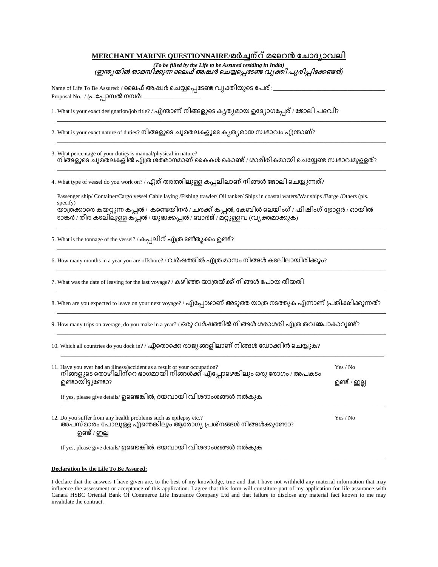## MERCHANT MARINE QUESTIONNAIRE/മർച്ചന്റ് മറൈൻ ചോദ്യാവലി

*(To be filled by the Life to be Assured residing in India)* (ഇന്ത്യയിൽ താമസിക്കുന്ന ലൈഫ് അഷ്വർ ചെയ്യപ്പെടേണ്ട വ്യക്തി പൂരിപ്പിക്കേണ്ടത്)

\_\_\_\_\_\_\_\_\_\_\_\_\_\_\_\_\_\_\_\_\_\_\_\_\_\_\_\_\_\_\_\_\_\_\_\_\_\_\_\_\_\_\_\_\_\_\_\_\_\_\_\_\_\_\_\_\_\_\_\_\_\_\_\_\_\_\_\_\_\_\_\_\_\_\_\_\_\_\_\_\_\_\_\_\_\_\_\_\_\_\_\_\_\_\_\_\_\_\_\_\_\_\_\_\_\_\_\_\_\_\_\_\_\_\_

\_\_\_\_\_\_\_\_\_\_\_\_\_\_\_\_\_\_\_\_\_\_\_\_\_\_\_\_\_\_\_\_\_\_\_\_\_\_\_\_\_\_\_\_\_\_\_\_\_\_\_\_\_\_\_\_\_\_\_\_\_\_\_\_\_\_\_\_\_\_\_\_\_\_\_\_\_\_\_\_\_\_\_\_\_\_\_\_\_\_\_\_\_\_\_\_\_\_\_\_\_\_\_\_\_\_\_\_\_\_\_\_\_\_\_

\_\_\_\_\_\_\_\_\_\_\_\_\_\_\_\_\_\_\_\_\_\_\_\_\_\_\_\_\_\_\_\_\_\_\_\_\_\_\_\_\_\_\_\_\_\_\_\_\_\_\_\_\_\_\_\_\_\_\_\_\_\_\_\_\_\_\_\_\_\_\_\_\_\_\_\_\_\_\_\_\_\_\_\_\_\_\_\_\_\_\_\_\_\_\_\_\_\_\_\_\_\_\_\_\_\_\_\_\_\_\_\_\_\_\_

Name of Life To Be Assured: / ലൈഫ് അഷ്വർ ചെയ്യപ്പെടേണ്ട വ്യക്തിയുടെ പേര്: \_ Proposal No.: / പ്രപ്പോസൽ നമ്പർ:

1. What is your exact designation/job title? / എന്താണ് നിങ്ങളുടെ ക്വത്യമായ ഉദ്യോഗപ്പേര് / ജോലി പദവി?

2. What is your exact nature of duties? നിങ്ങളുടെ ചുമതലകളുടെ ക്യത്യമായ സ്ഥഭാവം എന്താണ്?

3. What percentage of your duties is manual/physical in nature? നിങ്ങളുടെ ചുമതലകളിൽ എത്ര ശതമാനമാണ് കൈകൾ കൊണ്ട് / ശാരീരികമായി ചെയ്യേണ്ട സ്വഭാവമുള്ളത്?

4. What type of vessel do you work on? / ഏത് തരത്തിലുള്ള കപ്പലിലാണ് നിങ്ങൾ ജോലി ചെയ്യുന്നത്?

Passenger ship/ Container/Cargo vessel Cable laying /Fishing trawler/ Oil tanker/ Ships in coastal waters/War ships /Barge /Others (pls. specify) യാത്രക്കാരെ കയറ്റുന്ന കപ്പൽ / കണ്ടെയിനർ / ചരക്ക് കപ്പൽ, കേബിൾ ലെയിംഗ് / ഫിഷിംഗ് ട്രോളർ / ഓയിൽ ടാങ്കർ / തീര കടലിലുള്ള കപ്പൽ / യുദ്ധക്കപ്പൽ / ബാർജ് / മറ്റുള്ളവ (വ്യക്തമാക്കുക)

\_\_\_\_\_\_\_\_\_\_\_\_\_\_\_\_\_\_\_\_\_\_\_\_\_\_\_\_\_\_\_\_\_\_\_\_\_\_\_\_\_\_\_\_\_\_\_\_\_\_\_\_\_\_\_\_\_\_\_\_\_\_\_\_\_\_\_\_\_\_\_\_\_\_\_\_\_\_\_\_\_\_\_\_\_\_\_\_\_\_\_\_\_\_\_\_\_\_\_\_\_\_\_\_\_\_\_\_\_\_\_\_\_\_\_

\_\_\_\_\_\_\_\_\_\_\_\_\_\_\_\_\_\_\_\_\_\_\_\_\_\_\_\_\_\_\_\_\_\_\_\_\_\_\_\_\_\_\_\_\_\_\_\_\_\_\_\_\_\_\_\_\_\_\_\_\_\_\_\_\_\_\_\_\_\_\_\_\_\_\_\_\_\_\_\_\_\_\_\_\_\_\_\_\_\_\_\_\_\_\_\_\_\_\_\_\_\_\_\_\_\_\_\_\_\_\_\_\_\_\_

\_\_\_\_\_\_\_\_\_\_\_\_\_\_\_\_\_\_\_\_\_\_\_\_\_\_\_\_\_\_\_\_\_\_\_\_\_\_\_\_\_\_\_\_\_\_\_\_\_\_\_\_\_\_\_\_\_\_\_\_\_\_\_\_\_\_\_\_\_\_\_\_\_\_\_\_\_\_\_\_\_\_\_\_\_\_\_\_\_\_\_\_\_\_\_\_\_\_\_\_\_\_\_\_\_\_\_\_\_\_\_\_\_\_\_

\_\_\_\_\_\_\_\_\_\_\_\_\_\_\_\_\_\_\_\_\_\_\_\_\_\_\_\_\_\_\_\_\_\_\_\_\_\_\_\_\_\_\_\_\_\_\_\_\_\_\_\_\_\_\_\_\_\_\_\_\_\_\_\_\_\_\_\_\_\_\_\_\_\_\_\_\_\_\_\_\_\_\_\_\_\_\_\_\_\_\_\_\_\_\_\_\_\_\_\_\_\_\_\_\_\_\_\_\_\_\_\_\_\_\_

\_\_\_\_\_\_\_\_\_\_\_\_\_\_\_\_\_\_\_\_\_\_\_\_\_\_\_\_\_\_\_\_\_\_\_\_\_\_\_\_\_\_\_\_\_\_\_\_\_\_\_\_\_\_\_\_\_\_\_\_\_\_\_\_\_\_\_\_\_\_\_\_\_\_\_\_\_\_\_\_\_\_\_\_\_\_\_\_\_\_\_\_\_\_\_\_\_\_\_\_\_\_\_\_\_\_\_\_\_\_\_\_\_\_\_

\_\_\_\_\_\_\_\_\_\_\_\_\_\_\_\_\_\_\_\_\_\_\_\_\_\_\_\_\_\_\_\_\_\_\_\_\_\_\_\_\_\_\_\_\_\_\_\_\_\_\_\_\_\_\_\_\_\_\_\_\_\_\_\_\_\_\_\_\_\_\_\_\_\_\_\_\_\_\_\_\_\_\_\_\_\_\_\_\_\_\_\_\_\_\_\_\_\_\_\_\_\_\_\_\_\_\_\_\_\_\_\_\_\_\_

\_\_\_\_\_\_\_\_\_\_\_\_\_\_\_\_\_\_\_\_\_\_\_\_\_\_\_\_\_\_\_\_\_\_\_\_\_\_\_\_\_\_\_\_\_\_\_\_\_\_\_\_\_\_\_\_\_\_\_\_\_\_\_\_\_\_\_\_\_\_\_\_\_\_\_\_\_\_\_\_\_\_\_\_\_\_\_\_\_\_\_\_\_\_\_\_\_\_\_\_\_\_\_\_\_\_\_\_\_\_\_\_\_

5. What is the tonnage of the vessel? / കപ്പലിന് എത്ര ടൺ്തുക്കം ഉണ്ട്?

6. How many months in a year you are offshore? / വർഷത്തിൽ എത്ര മാസം നിങ്ങൾ കടലിലായിരിക്കും?

7. What was the date of leaving for the last voyage? /

8. When are you expected to leave on your next voyage? / എപ്പോഴാണ് അടുത്ത യാത്ര നടത്തുക എന്നാണ് പ്രതീക്ഷിക്കുന്നത്?

9. How many trips on average, do you make in a year? / ഒരു വർഷത്തിൽ നിങ്ങൾ ശരാശരി എത്ര തവങ്കോകാറുണ്ട്?

10. Which all countries do you dock in? / ഏതൊക്കെ രാജ്യങ്ങളിലാണ് നിങ്ങൾ ഡോക്കിൻ ചെയ്യുക?

| 11. Have you ever had an illness/accident as a result of your occupation?<br>നിങ്ങളുടെ തൊഴിലിന്റെ ഭാഗമായി നിങ്ങൾക്ക് എപ്പോഴെങ്കിലും ഒരു രോഗം / അപകടം<br>ഉണ്ടായിട്ടുണ്ടോ? | Yes / No<br>ഉണ്ട് / ഇല്ല |
|--------------------------------------------------------------------------------------------------------------------------------------------------------------------------|--------------------------|
| If yes, please give details/ ഉണ്ടെങ്കിൽ, ദയവായി വിശദാംശങ്ങൾ നൽകുക                                                                                                        |                          |
| 12. Do you suffer from any health problems such as epilepsy etc.?<br>അപസ്മാരം പോലുള്ള എന്തെങ്കിലും ആരോഗ്യ പ്രശ്നങ്ങൾ നിങ്ങൾക്കുണ്ടോ?<br>ഉണ്ട് / ഇല്ല                     | Yes / No                 |
| If yes, please give details/ ഉണ്ടെങ്കിൽ, ദയവായി വിശദാംശങ്ങൾ നൽകുക                                                                                                        |                          |

**Declaration by the Life To Be Assured:**

I declare that the answers I have given are, to the best of my knowledge, true and that I have not withheld any material information that may influence the assessment or acceptance of this application. I agree that this form will constitute part of my application for life assurance with Canara HSBC Oriental Bank Of Commerce Life Insurance Company Ltd and that failure to disclose any material fact known to me may invalidate the contract.

\_\_\_\_\_\_\_\_\_\_\_\_\_\_\_\_\_\_\_\_\_\_\_\_\_\_\_\_\_\_\_\_\_\_\_\_\_\_\_\_\_\_\_\_\_\_\_\_\_\_\_\_\_\_\_\_\_\_\_\_\_\_\_\_\_\_\_\_\_\_\_\_\_\_\_\_\_\_\_\_\_\_\_\_\_\_\_\_\_\_\_\_\_\_\_\_\_\_\_\_\_\_\_\_\_\_\_\_\_\_\_\_\_